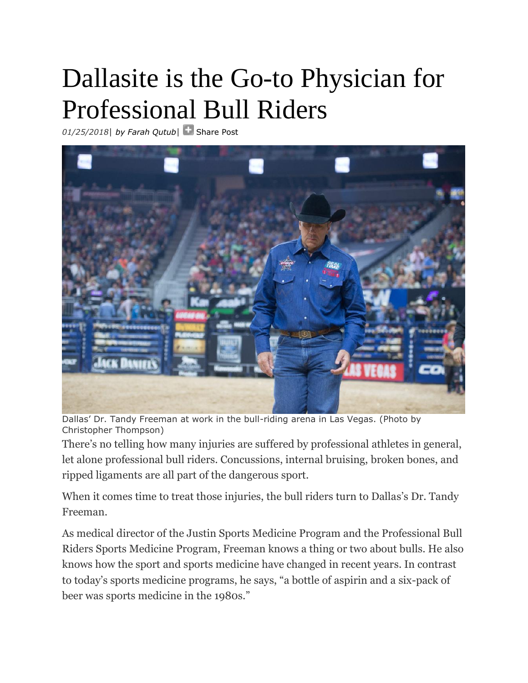## Dallasite is the Go-to Physician for Professional Bull Riders

*01/25/2018*| *[by Farah Qutub](https://healthcare.dmagazine.com/author/farah-qutub/)*| [Share Post](http://www.addthis.com/bookmark.php?v=250&pubid=dmagazine)



Dallas' Dr. Tandy Freeman at work in the bull-riding arena in Las Vegas. (Photo by Christopher Thompson)

There's no telling how many injuries are suffered by professional athletes in general, let alone professional bull riders. Concussions, internal bruising, broken bones, and ripped ligaments are all part of the dangerous sport.

When it comes time to treat those injuries, the bull riders turn to Dallas's Dr. Tandy Freeman.

As medical director of the Justin Sports Medicine Program and the Professional Bull Riders Sports Medicine Program, Freeman knows a thing or two about bulls. He also knows how the sport and sports medicine have changed in recent years. In contrast to today's sports medicine programs, he says, "a bottle of aspirin and a six-pack of beer was sports medicine in the 1980s."